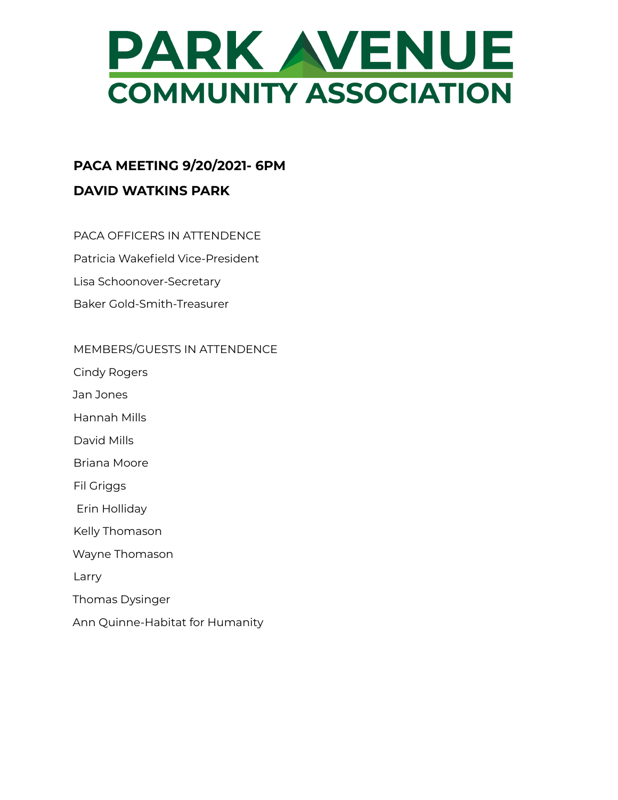

# **PACA MEETING 9/20/2021- 6PM DAVID WATKINS PARK**

- PACA OFFICERS IN ATTENDENCE
- Patricia Wakefield Vice-President
- Lisa Schoonover-Secretary
- Baker Gold-Smith-Treasurer

#### MEMBERS/GUESTS IN ATTENDENCE

- Cindy Rogers
- Jan Jones
- Hannah Mills
- David Mills
- Briana Moore
- Fil Griggs
- Erin Holliday
- Kelly Thomason
- Wayne Thomason
- Larry
- Thomas Dysinger
- Ann Quinne-Habitat for Humanity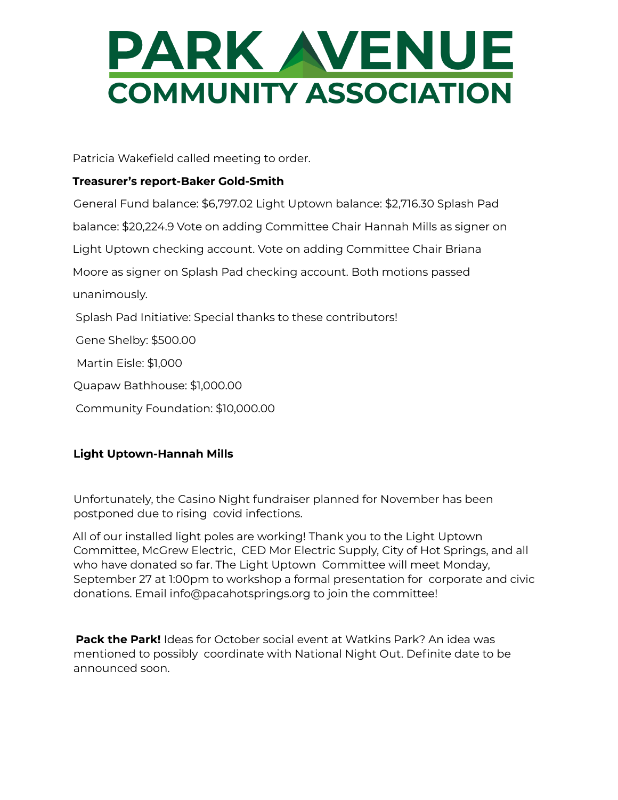# PARK WENUE **COMMUNITY ASSOCIATION**

Patricia Wakefield called meeting to order.

# **Treasurer's report-Baker Gold-Smith**

General Fund balance: \$6,797.02 Light Uptown balance: \$2,716.30 Splash Pad balance: \$20,224.9 Vote on adding Committee Chair Hannah Mills as signer on Light Uptown checking account. Vote on adding Committee Chair Briana Moore as signer on Splash Pad checking account. Both motions passed unanimously. Splash Pad Initiative: Special thanks to these contributors! Gene Shelby: \$500.00 Martin Eisle: \$1,000 Quapaw Bathhouse: \$1,000.00 Community Foundation: \$10,000.00

# **Light Uptown-Hannah Mills**

Unfortunately, the Casino Night fundraiser planned for November has been postponed due to rising covid infections.

All of our installed light poles are working! Thank you to the Light Uptown Committee, McGrew Electric, CED Mor Electric Supply, City of Hot Springs, and all who have donated so far. The Light Uptown Committee will meet Monday, September 27 at 1:00pm to workshop a formal presentation for corporate and civic donations. Email info@pacahotsprings.org to join the committee!

**Pack the Park!** Ideas for October social event at Watkins Park? An idea was mentioned to possibly coordinate with National Night Out. Definite date to be announced soon.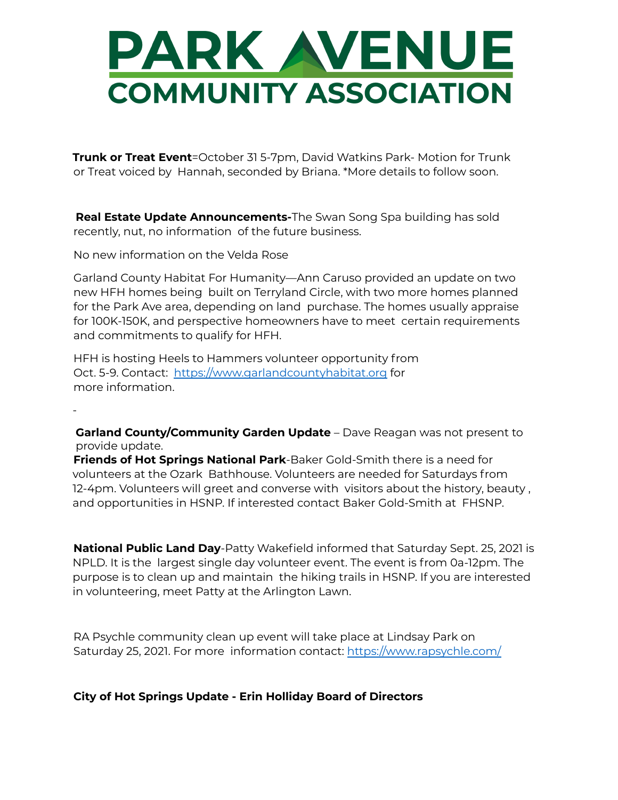# PARK WENUE **COMMUNITY ASSOCIATION**

**Trunk or Treat Event**=October 31 5-7pm, David Watkins Park- Motion for Trunk or Treat voiced by Hannah, seconded by Briana. \*More details to follow soon.

**Real Estate Update Announcements-**The Swan Song Spa building has sold recently, nut, no information of the future business.

No new information on the Velda Rose

-

Garland County Habitat For Humanity—Ann Caruso provided an update on two new HFH homes being built on Terryland Circle, with two more homes planned for the Park Ave area, depending on land purchase. The homes usually appraise for 100K-150K, and perspective homeowners have to meet certain requirements and commitments to qualify for HFH.

HFH is hosting Heels to Hammers volunteer opportunity from Oct. 5-9. Contact: https://www.garlandcountyhabitat.org for more information.

**Garland County/Community Garden Update** – Dave Reagan was not present to provide update.

**Friends of Hot Springs National Park**-Baker Gold-Smith there is a need for volunteers at the Ozark Bathhouse. Volunteers are needed for Saturdays from 12-4pm. Volunteers will greet and converse with visitors about the history, beauty , and opportunities in HSNP. If interested contact Baker Gold-Smith at FHSNP.

**National Public Land Day**-Patty Wakefield informed that Saturday Sept. 25, 2021 is NPLD. It is the largest single day volunteer event. The event is from 0a-12pm. The purpose is to clean up and maintain the hiking trails in HSNP. If you are interested in volunteering, meet Patty at the Arlington Lawn.

RA Psychle community clean up event will take place at Lindsay Park on Saturday 25, 2021. For more information contact: https://www.rapsychle.com/

## **City of Hot Springs Update - Erin Holliday Board of Directors**